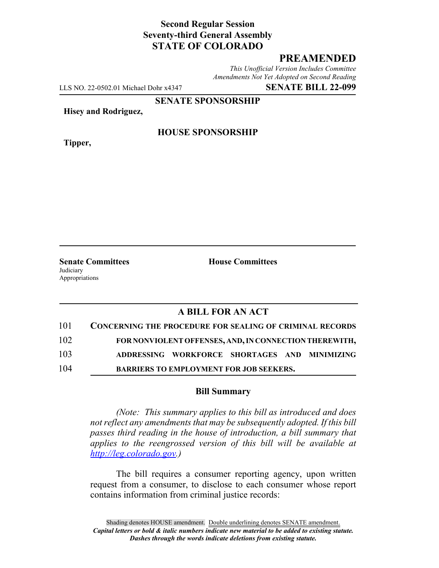# **Second Regular Session Seventy-third General Assembly STATE OF COLORADO**

# **PREAMENDED**

*This Unofficial Version Includes Committee Amendments Not Yet Adopted on Second Reading*

LLS NO. 22-0502.01 Michael Dohr x4347 **SENATE BILL 22-099**

**SENATE SPONSORSHIP**

**Hisey and Rodriguez,**

**Tipper,**

### **HOUSE SPONSORSHIP**

**Senate Committees House Committees Judiciary** Appropriations

### **A BILL FOR AN ACT**

| 101 | <b>CONCERNING THE PROCEDURE FOR SEALING OF CRIMINAL RECORDS</b> |
|-----|-----------------------------------------------------------------|
| 102 | FOR NONVIOLENT OFFENSES, AND, IN CONNECTION THEREWITH,          |
| 103 | ADDRESSING WORKFORCE SHORTAGES AND MINIMIZING                   |
| 104 | <b>BARRIERS TO EMPLOYMENT FOR JOB SEEKERS.</b>                  |

#### **Bill Summary**

*(Note: This summary applies to this bill as introduced and does not reflect any amendments that may be subsequently adopted. If this bill passes third reading in the house of introduction, a bill summary that applies to the reengrossed version of this bill will be available at http://leg.colorado.gov.)*

The bill requires a consumer reporting agency, upon written request from a consumer, to disclose to each consumer whose report contains information from criminal justice records: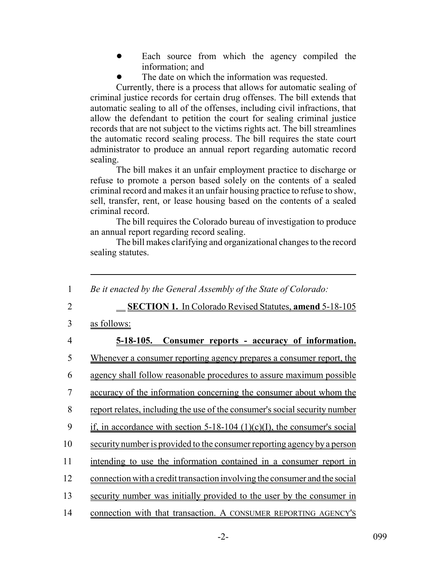- Each source from which the agency compiled the information; and
- The date on which the information was requested.

Currently, there is a process that allows for automatic sealing of criminal justice records for certain drug offenses. The bill extends that automatic sealing to all of the offenses, including civil infractions, that allow the defendant to petition the court for sealing criminal justice records that are not subject to the victims rights act. The bill streamlines the automatic record sealing process. The bill requires the state court administrator to produce an annual report regarding automatic record sealing.

The bill makes it an unfair employment practice to discharge or refuse to promote a person based solely on the contents of a sealed criminal record and makes it an unfair housing practice to refuse to show, sell, transfer, rent, or lease housing based on the contents of a sealed criminal record.

The bill requires the Colorado bureau of investigation to produce an annual report regarding record sealing.

The bill makes clarifying and organizational changes to the record sealing statutes.

| 1              | Be it enacted by the General Assembly of the State of Colorado:             |
|----------------|-----------------------------------------------------------------------------|
| $\overline{2}$ | <b>SECTION 1.</b> In Colorado Revised Statutes, amend 5-18-105              |
| 3              | as follows:                                                                 |
| $\overline{4}$ | <u>5-18-105.</u><br>Consumer reports - accuracy of information.             |
| 5              | <u>Whenever a consumer reporting agency prepares a consumer report, the</u> |
| 6              | agency shall follow reasonable procedures to assure maximum possible        |
| 7              | accuracy of the information concerning the consumer about whom the          |
| 8              | report relates, including the use of the consumer's social security number  |
| 9              | if, in accordance with section $5-18-104$ (1)(c)(I), the consumer's social  |
| 10             | security number is provided to the consumer reporting agency by a person    |
| 11             | intending to use the information contained in a consumer report in          |
| 12             | connection with a credit transaction involving the consumer and the social  |
| 13             | security number was initially provided to the user by the consumer in       |
| 14             | connection with that transaction. A CONSUMER REPORTING AGENCY'S             |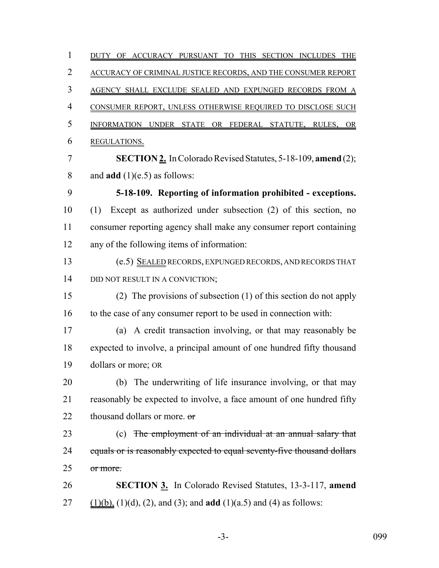1 DUTY OF ACCURACY PURSUANT TO THIS SECTION INCLUDES THE ACCURACY OF CRIMINAL JUSTICE RECORDS, AND THE CONSUMER REPORT AGENCY SHALL EXCLUDE SEALED AND EXPUNGED RECORDS FROM A CONSUMER REPORT, UNLESS OTHERWISE REQUIRED TO DISCLOSE SUCH 5 INFORMATION UNDER STATE OR FEDERAL STATUTE, RULES, OR REGULATIONS. **SECTION 2.** In Colorado Revised Statutes, 5-18-109, **amend** (2); and **add** (1)(e.5) as follows: **5-18-109. Reporting of information prohibited - exceptions.** (1) Except as authorized under subsection (2) of this section, no consumer reporting agency shall make any consumer report containing any of the following items of information: (e.5) SEALED RECORDS, EXPUNGED RECORDS, AND RECORDS THAT 14 DID NOT RESULT IN A CONVICTION; (2) The provisions of subsection (1) of this section do not apply to the case of any consumer report to be used in connection with: (a) A credit transaction involving, or that may reasonably be expected to involve, a principal amount of one hundred fifty thousand dollars or more; OR (b) The underwriting of life insurance involving, or that may reasonably be expected to involve, a face amount of one hundred fifty 22 thousand dollars or more.  $\sigma$ 23 (c) The employment of an individual at an annual salary that 24 equals or is reasonably expected to equal seventy-five thousand dollars or more. **SECTION 3.** In Colorado Revised Statutes, 13-3-117, **amend** (1)(b), (1)(d), (2), and (3); and **add** (1)(a.5) and (4) as follows:

-3- 099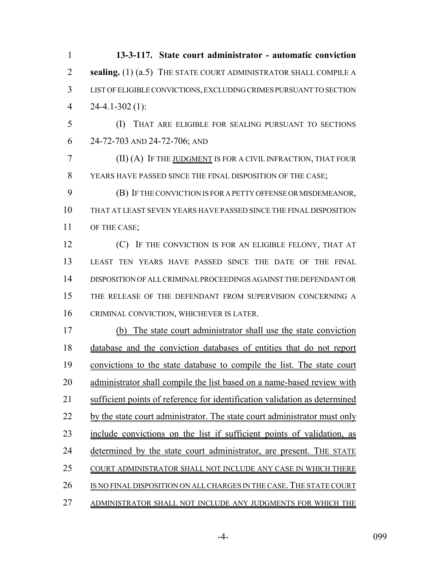| $\mathbf{1}$   | 13-3-117. State court administrator - automatic conviction                 |
|----------------|----------------------------------------------------------------------------|
| $\overline{2}$ | sealing. (1) (a.5) THE STATE COURT ADMINISTRATOR SHALL COMPILE A           |
| 3              | LIST OF ELIGIBLE CONVICTIONS, EXCLUDING CRIMES PURSUANT TO SECTION         |
| $\overline{4}$ | $24-4.1-302(1)$ :                                                          |
| 5              | (I)<br>THAT ARE ELIGIBLE FOR SEALING PURSUANT TO SECTIONS                  |
| 6              | 24-72-703 AND 24-72-706; AND                                               |
| 7              | (II) (A) IF THE JUDGMENT IS FOR A CIVIL INFRACTION, THAT FOUR              |
| 8              | YEARS HAVE PASSED SINCE THE FINAL DISPOSITION OF THE CASE;                 |
| 9              | (B) IF THE CONVICTION IS FOR A PETTY OFFENSE OR MISDEMEANOR,               |
| 10             | THAT AT LEAST SEVEN YEARS HAVE PASSED SINCE THE FINAL DISPOSITION          |
| 11             | OF THE CASE;                                                               |
| 12             | (C) IF THE CONVICTION IS FOR AN ELIGIBLE FELONY, THAT AT                   |
| 13             | LEAST TEN YEARS HAVE PASSED SINCE THE DATE OF THE FINAL                    |
| 14             | DISPOSITION OF ALL CRIMINAL PROCEEDINGS AGAINST THE DEFENDANT OR           |
| 15             | THE RELEASE OF THE DEFENDANT FROM SUPERVISION CONCERNING A                 |
| 16             | CRIMINAL CONVICTION, WHICHEVER IS LATER.                                   |
| 17             | The state court administrator shall use the state conviction<br>(b)        |
| 18             | database and the conviction databases of entities that do not report       |
| 19             | convictions to the state database to compile the list. The state court     |
| 20             | administrator shall compile the list based on a name-based review with     |
| 21             | sufficient points of reference for identification validation as determined |
| 22             | by the state court administrator. The state court administrator must only  |
| 23             | include convictions on the list if sufficient points of validation, as     |
| 24             | determined by the state court administrator, are present. THE STATE        |
| 25             | COURT ADMINISTRATOR SHALL NOT INCLUDE ANY CASE IN WHICH THERE              |
| 26             | IS NO FINAL DISPOSITION ON ALL CHARGES IN THE CASE. THE STATE COURT        |
| 27             | ADMINISTRATOR SHALL NOT INCLUDE ANY JUDGMENTS FOR WHICH THE                |

-4- 099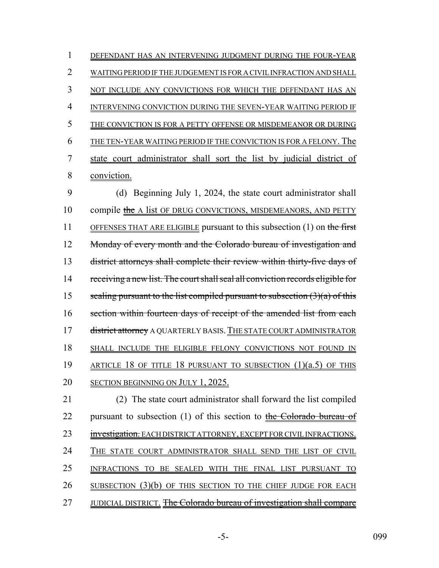| 1 | DEFENDANT HAS AN INTERVENING JUDGMENT DURING THE FOUR-YEAR            |
|---|-----------------------------------------------------------------------|
| 2 | WAITING PERIOD IF THE JUDGEMENT IS FOR A CIVIL INFRACTION AND SHALL   |
| 3 | NOT INCLUDE ANY CONVICTIONS FOR WHICH THE DEFENDANT HAS AN            |
| 4 | INTERVENING CONVICTION DURING THE SEVEN-YEAR WAITING PERIOD IF        |
| 5 | THE CONVICTION IS FOR A PETTY OFFENSE OR MISDEMEANOR OR DURING        |
| 6 | THE TEN-YEAR WAITING PERIOD IF THE CONVICTION IS FOR A FELONY. The    |
| 7 | state court administrator shall sort the list by judicial district of |
| 8 | conviction.                                                           |
| 9 | Beginning July 1, 2024, the state court administrator shall<br>(d)    |
|   |                                                                       |

10 compile the A list OF DRUG CONVICTIONS, MISDEMEANORS, AND PETTY 11 OFFENSES THAT ARE ELIGIBLE pursuant to this subsection (1) on the first 12 Monday of every month and the Colorado bureau of investigation and 13 district attorneys shall complete their review within thirty-five days of 14 receiving a new list. The court shall seal all conviction records eligible for 15 sealing pursuant to the list compiled pursuant to subsection  $(3)(a)$  of this 16 section within fourteen days of receipt of the amended list from each 17 district attorney A QUARTERLY BASIS. THE STATE COURT ADMINISTRATOR 18 SHALL INCLUDE THE ELIGIBLE FELONY CONVICTIONS NOT FOUND IN 19 ARTICLE 18 OF TITLE 18 PURSUANT TO SUBSECTION (1)(a.5) OF THIS 20 SECTION BEGINNING ON JULY 1, 2025.

21 (2) The state court administrator shall forward the list compiled 22 pursuant to subsection  $(1)$  of this section to the Colorado bureau of 23 investigation. EACH DISTRICT ATTORNEY, EXCEPT FOR CIVIL INFRACTIONS. 24 THE STATE COURT ADMINISTRATOR SHALL SEND THE LIST OF CIVIL 25 INFRACTIONS TO BE SEALED WITH THE FINAL LIST PURSUANT TO 26 SUBSECTION (3)(b) OF THIS SECTION TO THE CHIEF JUDGE FOR EACH 27 JUDICIAL DISTRICT. The Colorado bureau of investigation shall compare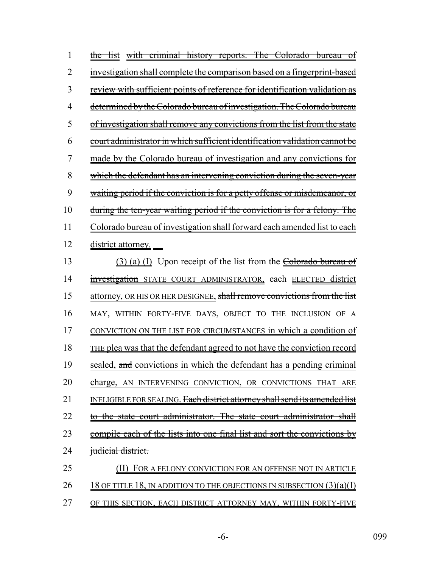| 1  | the list with criminal history reports. The Colorado bureau of                        |
|----|---------------------------------------------------------------------------------------|
| 2  | investigation shall complete the comparison based on a fingerprint-based              |
| 3  | review with sufficient points of reference for identification validation as           |
| 4  | determined by the Colorado bureau of investigation. The Colorado bureau               |
| 5  | of investigation shall remove any convictions from the list from the state            |
| 6  | court administrator in which sufficient identification validation cannot be           |
| 7  | made by the Colorado bureau of investigation and any convictions for                  |
| 8  | which the defendant has an intervening conviction during the seven-year               |
| 9  | waiting period if the conviction is for a petty offense or misdemeanor, or            |
| 10 | during the ten-year waiting period if the conviction is for a felony. The             |
| 11 | Colorado bureau of investigation shall forward each amended list to each              |
| 12 | district attorney.                                                                    |
| 13 | (3) (a) (I) Upon receipt of the list from the <b>Colorado bureau of</b>               |
| 14 | investigation STATE COURT ADMINISTRATOR, each ELECTED district                        |
| 15 | attorney, OR HIS OR HER DESIGNEE, shall remove convictions from the list              |
| 16 | MAY, WITHIN FORTY-FIVE DAYS, OBJECT TO THE INCLUSION OF A                             |
| 17 | CONVICTION ON THE LIST FOR CIRCUMSTANCES in which a condition of                      |
| 18 | THE plea was that the defendant agreed to not have the conviction record              |
| 19 | sealed, and convictions in which the defendant has a pending criminal                 |
| 20 | charge, AN INTERVENING CONVICTION, OR CONVICTIONS THAT ARE                            |
| 21 | INELIGIBLE FOR SEALING. <del>Each district attorney shall send its amended list</del> |
| 22 | the state court administrator. The state court administrator shall                    |
| 23 | <u>compile each of the lists into one final list and sort the convictions by</u>      |
| 24 | judicial district.                                                                    |
| 25 | FOR A FELONY CONVICTION FOR AN OFFENSE NOT IN ARTICLE                                 |
| 26 | 18 OF TITLE 18, IN ADDITION TO THE OBJECTIONS IN SUBSECTION $(3)(a)(I)$               |
| 27 | OF THIS SECTION, EACH DISTRICT ATTORNEY MAY, WITHIN FORTY-FIVE                        |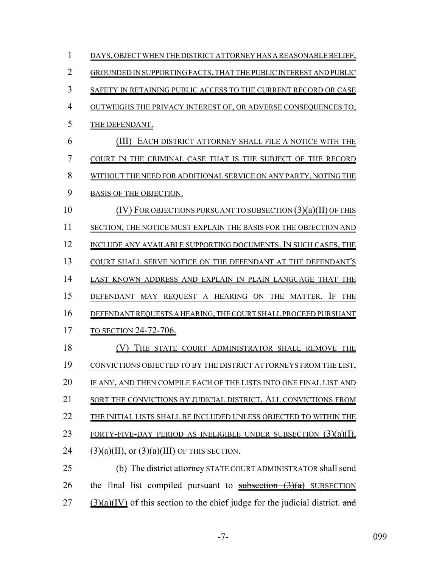| 1              | DAYS, OBJECT WHEN THE DISTRICT ATTORNEY HAS A REASONABLE BELIEF,                                   |
|----------------|----------------------------------------------------------------------------------------------------|
| $\overline{2}$ | GROUNDED IN SUPPORTING FACTS, THAT THE PUBLIC INTEREST AND PUBLIC                                  |
| 3              | SAFETY IN RETAINING PUBLIC ACCESS TO THE CURRENT RECORD OR CASE                                    |
| $\overline{4}$ | OUTWEIGHS THE PRIVACY INTEREST OF, OR ADVERSE CONSEQUENCES TO,                                     |
| 5              | THE DEFENDANT.                                                                                     |
| 6              | EACH DISTRICT ATTORNEY SHALL FILE A NOTICE WITH THE<br>(III)                                       |
| 7              | COURT IN THE CRIMINAL CASE THAT IS THE SUBJECT OF THE RECORD                                       |
| 8              | WITHOUT THE NEED FOR ADDITIONAL SERVICE ON ANY PARTY, NOTING THE                                   |
| 9              | BASIS OF THE OBJECTION.                                                                            |
| 10             | $(IV)$ FOR OBJECTIONS PURSUANT TO SUBSECTION $(3)(a)(II)$ OF THIS                                  |
| 11             | SECTION, THE NOTICE MUST EXPLAIN THE BASIS FOR THE OBJECTION AND                                   |
| 12             | INCLUDE ANY AVAILABLE SUPPORTING DOCUMENTS. IN SUCH CASES, THE                                     |
| 13             | COURT SHALL SERVE NOTICE ON THE DEFENDANT AT THE DEFENDANT'S                                       |
| 14             | LAST KNOWN ADDRESS AND EXPLAIN IN PLAIN LANGUAGE THAT THE                                          |
| 15             | DEFENDANT MAY REQUEST A HEARING ON THE MATTER. IF THE                                              |
| 16             | DEFENDANT REQUESTS A HEARING, THE COURT SHALL PROCEED PURSUANT                                     |
| 17             | TO SECTION 24-72-706.                                                                              |
| 18             | THE STATE COURT ADMINISTRATOR SHALL REMOVE THE                                                     |
| 19             | CONVICTIONS OBJECTED TO BY THE DISTRICT ATTORNEYS FROM THE LIST,                                   |
| 20             | IF ANY, AND THEN COMPILE EACH OF THE LISTS INTO ONE FINAL LIST AND                                 |
| 21             | SORT THE CONVICTIONS BY JUDICIAL DISTRICT. ALL CONVICTIONS FROM                                    |
| 22             | THE INITIAL LISTS SHALL BE INCLUDED UNLESS OBJECTED TO WITHIN THE                                  |
| 23             | FORTY-FIVE-DAY PERIOD AS INELIGIBLE UNDER SUBSECTION $(3)(a)(1)$ ,                                 |
| 24             | $(3)(a)(II)$ , or $(3)(a)(III)$ OF THIS SECTION.                                                   |
| 25             | (b) The <del>district attorney</del> STATE COURT ADMINISTRATOR shall send                          |
| 26             | the final list compiled pursuant to $\frac{\text{subsection}(3)(a)}{\text{subsection}}$ SUBSECTION |
| 27             | $(3)(a)(IV)$ of this section to the chief judge for the judicial district. and                     |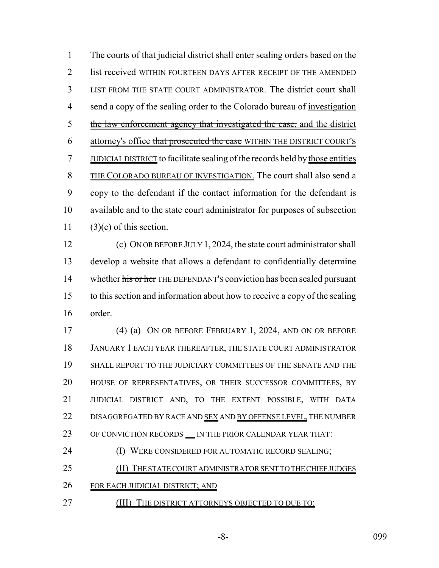The courts of that judicial district shall enter sealing orders based on the list received WITHIN FOURTEEN DAYS AFTER RECEIPT OF THE AMENDED LIST FROM THE STATE COURT ADMINISTRATOR. The district court shall send a copy of the sealing order to the Colorado bureau of investigation 5 the law enforcement agency that investigated the case, and the district 6 attorney's office that prosecuted the case WITHIN THE DISTRICT COURT'S 7 JUDICIAL DISTRICT to facilitate sealing of the records held by those entities THE COLORADO BUREAU OF INVESTIGATION. The court shall also send a copy to the defendant if the contact information for the defendant is available and to the state court administrator for purposes of subsection 11 (3)(c) of this section.

 (c) ON OR BEFORE JULY 1, 2024, the state court administrator shall develop a website that allows a defendant to confidentially determine 14 whether his or her THE DEFENDANT's conviction has been sealed pursuant to this section and information about how to receive a copy of the sealing order.

 (4) (a) ON OR BEFORE FEBRUARY 1, 2024, AND ON OR BEFORE JANUARY 1 EACH YEAR THEREAFTER, THE STATE COURT ADMINISTRATOR SHALL REPORT TO THE JUDICIARY COMMITTEES OF THE SENATE AND THE HOUSE OF REPRESENTATIVES, OR THEIR SUCCESSOR COMMITTEES, BY JUDICIAL DISTRICT AND, TO THE EXTENT POSSIBLE, WITH DATA 22 DISAGGREGATED BY RACE AND SEX AND BY OFFENSE LEVEL, THE NUMBER 23 OF CONVICTION RECORDS \_\_ IN THE PRIOR CALENDAR YEAR THAT:

**(I) WERE CONSIDERED FOR AUTOMATIC RECORD SEALING;** 

25 (II) THE STATE COURT ADMINISTRATOR SENT TO THE CHIEF JUDGES

FOR EACH JUDICIAL DISTRICT; AND

27 (III) THE DISTRICT ATTORNEYS OBJECTED TO DUE TO: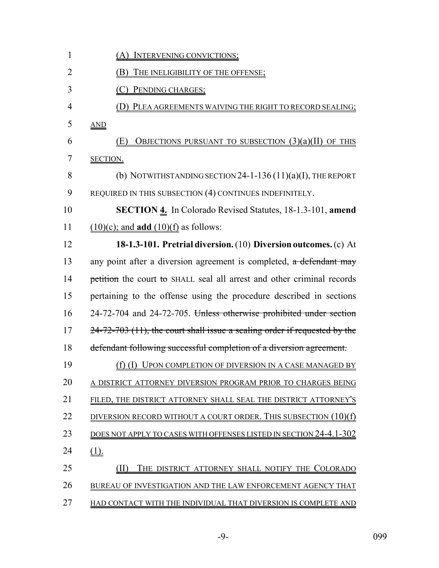| $\mathbf{1}$   | <u>(A) INTERVENING CONVICTIONS;</u>                                         |
|----------------|-----------------------------------------------------------------------------|
| $\overline{2}$ | THE INELIGIBILITY OF THE OFFENSE;<br>(B)                                    |
| 3              | (C) PENDING CHARGES;                                                        |
| $\overline{4}$ | PLEA AGREEMENTS WAIVING THE RIGHT TO RECORD SEALING;                        |
| 5              | AND                                                                         |
| 6              | <b>OBJECTIONS PURSUANT TO SUBSECTION (3)(a)(II) OF THIS</b><br>(E)          |
| 7              | SECTION.                                                                    |
| 8              | (b) NOTWITHSTANDING SECTION 24-1-136 $(11)(a)(I)$ , THE REPORT              |
| 9              | REQUIRED IN THIS SUBSECTION (4) CONTINUES INDEFINITELY.                     |
| 10             | <b>SECTION 4.</b> In Colorado Revised Statutes, 18-1.3-101, amend           |
| 11             | $(10)(c)$ ; and <b>add</b> $(10)(f)$ as follows:                            |
| 12             | 18-1.3-101. Pretrial diversion. (10) Diversion outcomes. (c) At             |
| 13             | any point after a diversion agreement is completed, a defendant may         |
| 14             | petition the court to SHALL seal all arrest and other criminal records      |
| 15             | pertaining to the offense using the procedure described in sections         |
| 16             | 24-72-704 and 24-72-705. Unless otherwise prohibited under section          |
| 17             | $24-72-703$ (11), the court shall issue a sealing order if requested by the |
| 18             | defendant following successful completion of a diversion agreement.         |
| 19             | (f) (I) UPON COMPLETION OF DIVERSION IN A CASE MANAGED BY                   |
| 20             | A DISTRICT ATTORNEY DIVERSION PROGRAM PRIOR TO CHARGES BEING                |
| 21             | FILED, THE DISTRICT ATTORNEY SHALL SEAL THE DISTRICT ATTORNEY'S             |
| 22             | DIVERSION RECORD WITHOUT A COURT ORDER. THIS SUBSECTION $(10)(f)$           |
| 23             | DOES NOT APPLY TO CASES WITH OFFENSES LISTED IN SECTION 24-4.1-302          |
| 24             | <u>(1).</u>                                                                 |
| 25             | THE DISTRICT ATTORNEY SHALL NOTIFY THE COLORADO<br>(II)                     |
| 26             | BUREAU OF INVESTIGATION AND THE LAW ENFORCEMENT AGENCY THAT                 |
| 27             | HAD CONTACT WITH THE INDIVIDUAL THAT DIVERSION IS COMPLETE AND              |

-9- 099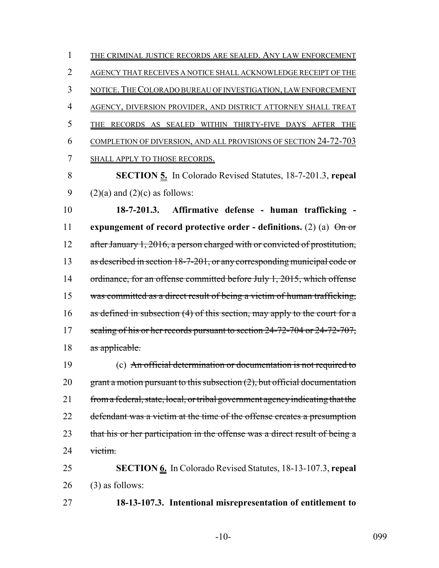1 THE CRIMINAL JUSTICE RECORDS ARE SEALED. ANY LAW ENFORCEMENT AGENCY THAT RECEIVES A NOTICE SHALL ACKNOWLEDGE RECEIPT OF THE NOTICE.THE COLORADO BUREAU OF INVESTIGATION, LAW ENFORCEMENT AGENCY, DIVERSION PROVIDER, AND DISTRICT ATTORNEY SHALL TREAT THE RECORDS AS SEALED WITHIN THIRTY-FIVE DAYS AFTER THE COMPLETION OF DIVERSION, AND ALL PROVISIONS OF SECTION 24-72-703 SHALL APPLY TO THOSE RECORDS. **SECTION 5.** In Colorado Revised Statutes, 18-7-201.3, **repeal**

9 (2)(a) and (2)(c) as follows:

10 **18-7-201.3. Affirmative defense - human trafficking -** 11 **expungement of record protective order - definitions.** (2) (a)  $\Theta$  or 12 after January 1, 2016, a person charged with or convicted of prostitution, 13 as described in section 18-7-201, or any corresponding municipal code or 14 ordinance, for an offense committed before July 1, 2015, which offense 15 was committed as a direct result of being a victim of human trafficking, 16 as defined in subsection (4) of this section, may apply to the court for a 17 sealing of his or her records pursuant to section 24-72-704 or 24-72-707, 18 as applicable.

19 (c) An official determination or documentation is not required to 20 grant a motion pursuant to this subsection  $(2)$ , but official documentation 21 from a federal, state, local, or tribal government agency indicating that the 22 defendant was a victim at the time of the offense creates a presumption 23 that his or her participation in the offense was a direct result of being a 24 victim.

25 **SECTION 6.** In Colorado Revised Statutes, 18-13-107.3, **repeal**  $26$  (3) as follows:

27 **18-13-107.3. Intentional misrepresentation of entitlement to**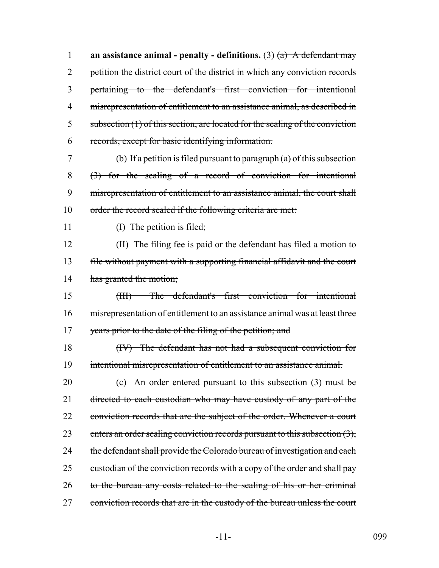**an assistance animal - penalty - definitions.** (3) (a) A defendant may 2 petition the district court of the district in which any conviction records pertaining to the defendant's first conviction for intentional misrepresentation of entitlement to an assistance animal, as described in 5 subsection (1) of this section, are located for the sealing of the conviction records, except for basic identifying information.

7 (b) If a petition is filed pursuant to paragraph  $(a)$  of this subsection 8 (3) for the sealing of a record of conviction for intentional 9 misrepresentation of entitlement to an assistance animal, the court shall 10 order the record sealed if the following criteria are met:

11 (I) The petition is filed;

12 (II) The filing fee is paid or the defendant has filed a motion to 13 file without payment with a supporting financial affidavit and the court 14 has granted the motion;

15 (III) The defendant's first conviction for intentional 16 misrepresentation of entitlement to an assistance animal was at least three 17 years prior to the date of the filing of the petition; and

18 (IV) The defendant has not had a subsequent conviction for 19 intentional misrepresentation of entitlement to an assistance animal.

20 (c) An order entered pursuant to this subsection (3) must be 21 directed to each custodian who may have custody of any part of the 22 conviction records that are the subject of the order. Whenever a court 23 enters an order sealing conviction records pursuant to this subsection  $(3)$ , 24 the defendant shall provide the Colorado bureau of investigation and each 25 custodian of the conviction records with a copy of the order and shall pay 26 to the bureau any costs related to the sealing of his or her criminal 27 conviction records that are in the custody of the bureau unless the court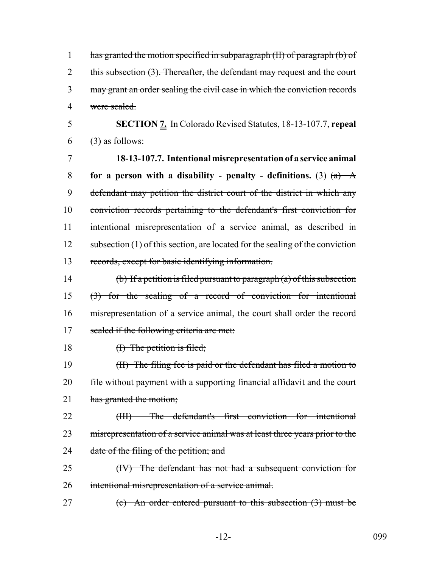| has granted the motion specified in subparagraph (II) of paragraph (b) of   |
|-----------------------------------------------------------------------------|
| this subsection (3). Thereafter, the defendant may request and the court    |
| 3 may grant an order sealing the civil case in which the conviction records |
| 4 were sealed.                                                              |

5 **SECTION 7.** In Colorado Revised Statutes, 18-13-107.7, **repeal**  $6$  (3) as follows:

 **18-13-107.7. Intentional misrepresentation of a service animal for a person with a disability - penalty - definitions.** (3)  $(a)$  A defendant may petition the district court of the district in which any conviction records pertaining to the defendant's first conviction for intentional misrepresentation of a service animal, as described in 12 subsection (1) of this section, are located for the sealing of the conviction records, except for basic identifying information.

14 (b) If a petition is filed pursuant to paragraph (a) of this subsection 15 (3) for the sealing of a record of conviction for intentional 16 misrepresentation of a service animal, the court shall order the record 17 sealed if the following criteria are met:

18 (I) The petition is filed;

19 (II) The filing fee is paid or the defendant has filed a motion to 20 file without payment with a supporting financial affidavit and the court 21 has granted the motion;

22 (III) The defendant's first conviction for intentional 23 misrepresentation of a service animal was at least three years prior to the 24 date of the filing of the petition; and

- 25 (IV) The defendant has not had a subsequent conviction for 26 intentional misrepresentation of a service animal.
- 27 (c) An order entered pursuant to this subsection (3) must be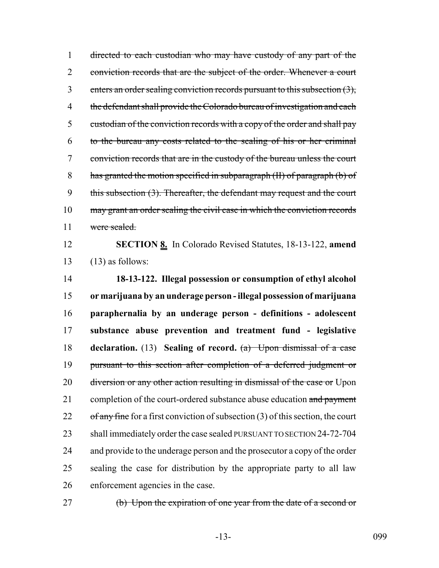1 directed to each custodian who may have custody of any part of the 2 conviction records that are the subject of the order. Whenever a court 3 enters an order sealing conviction records pursuant to this subsection (3), 4 the defendant shall provide the Colorado bureau of investigation and each 5 custodian of the conviction records with a copy of the order and shall pay 6 to the bureau any costs related to the sealing of his or her criminal 7 conviction records that are in the custody of the bureau unless the court 8 has granted the motion specified in subparagraph (II) of paragraph (b) of 9 this subsection (3). Thereafter, the defendant may request and the court 10 may grant an order sealing the civil case in which the conviction records 11 were sealed.

12 **SECTION 8.** In Colorado Revised Statutes, 18-13-122, **amend** 13  $(13)$  as follows:

 **18-13-122. Illegal possession or consumption of ethyl alcohol or marijuana by an underage person - illegal possession of marijuana paraphernalia by an underage person - definitions - adolescent substance abuse prevention and treatment fund - legislative declaration.** (13) **Sealing of record.** (a) Upon dismissal of a case pursuant to this section after completion of a deferred judgment or 20 diversion or any other action resulting in dismissal of the case or Upon 21 completion of the court-ordered substance abuse education and payment  $of any fine$  fine for a first conviction of subsection (3) of this section, the court shall immediately order the case sealed PURSUANT TO SECTION 24-72-704 24 and provide to the underage person and the prosecutor a copy of the order sealing the case for distribution by the appropriate party to all law enforcement agencies in the case.

27 (b) Upon the expiration of one year from the date of a second or

-13- 099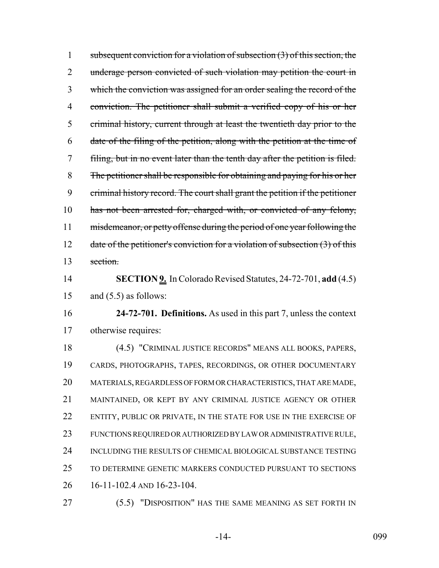1 subsequent conviction for a violation of subsection  $(3)$  of this section, the 2 underage person convicted of such violation may petition the court in which the conviction was assigned for an order sealing the record of the conviction. The petitioner shall submit a verified copy of his or her criminal history, current through at least the twentieth day prior to the date of the filing of the petition, along with the petition at the time of filing, but in no event later than the tenth day after the petition is filed. The petitioner shall be responsible for obtaining and paying for his or her criminal history record. The court shall grant the petition if the petitioner 10 has not been arrested for, charged with, or convicted of any felony, 11 misdemeanor, or petty offense during the period of one year following the 12 date of the petitioner's conviction for a violation of subsection (3) of this section. **SECTION 9.** In Colorado Revised Statutes, 24-72-701, **add** (4.5) 15 and  $(5.5)$  as follows: **24-72-701. Definitions.** As used in this part 7, unless the context otherwise requires: (4.5) "CRIMINAL JUSTICE RECORDS" MEANS ALL BOOKS, PAPERS, CARDS, PHOTOGRAPHS, TAPES, RECORDINGS, OR OTHER DOCUMENTARY MATERIALS, REGARDLESS OF FORM OR CHARACTERISTICS, THAT ARE MADE, MAINTAINED, OR KEPT BY ANY CRIMINAL JUSTICE AGENCY OR OTHER 22 ENTITY, PUBLIC OR PRIVATE, IN THE STATE FOR USE IN THE EXERCISE OF FUNCTIONS REQUIRED OR AUTHORIZED BY LAW OR ADMINISTRATIVE RULE, INCLUDING THE RESULTS OF CHEMICAL BIOLOGICAL SUBSTANCE TESTING TO DETERMINE GENETIC MARKERS CONDUCTED PURSUANT TO SECTIONS 16-11-102.4 AND 16-23-104. (5.5) "DISPOSITION" HAS THE SAME MEANING AS SET FORTH IN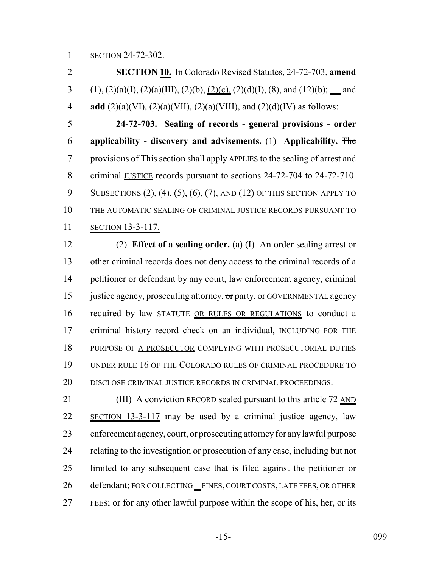2 **SECTION 10.** In Colorado Revised Statutes, 24-72-703, **amend** 3 (1), (2)(a)(I), (2)(a)(III), (2)(b), (2)(c), (2)(d)(I), (8), and (12)(b); \_\_ and 4 **add** (2)(a)(VI), (2)(a)(VII), (2)(a)(VIII), and (2)(d)(IV) as follows: 5 **24-72-703. Sealing of records - general provisions - order** 6 **applicability - discovery and advisements.** (1) **Applicability.** The 7 provisions of This section shall apply APPLIES to the sealing of arrest and 8 criminal <u>JUSTICE</u> records pursuant to sections 24-72-704 to 24-72-710. 9 SUBSECTIONS (2), (4), (5), (6), (7), AND (12) OF THIS SECTION APPLY TO 10 THE AUTOMATIC SEALING OF CRIMINAL JUSTICE RECORDS PURSUANT TO 11 SECTION 13-3-117.

 (2) **Effect of a sealing order.** (a) (I) An order sealing arrest or other criminal records does not deny access to the criminal records of a petitioner or defendant by any court, law enforcement agency, criminal 15 justice agency, prosecuting attorney, or party, or GOVERNMENTAL agency 16 required by law STATUTE OR RULES OR REGULATIONS to conduct a criminal history record check on an individual, INCLUDING FOR THE PURPOSE OF A PROSECUTOR COMPLYING WITH PROSECUTORIAL DUTIES UNDER RULE 16 OF THE COLORADO RULES OF CRIMINAL PROCEDURE TO DISCLOSE CRIMINAL JUSTICE RECORDS IN CRIMINAL PROCEEDINGS.

21 (III) A conviction RECORD sealed pursuant to this article 72 AND 22 SECTION 13-3-117 may be used by a criminal justice agency, law 23 enforcement agency, court, or prosecuting attorney for any lawful purpose 24 relating to the investigation or prosecution of any case, including but not 25 limited to any subsequent case that is filed against the petitioner or 26 defendant; FOR COLLECTING FINES, COURT COSTS, LATE FEES, OR OTHER 27 FEES; or for any other lawful purpose within the scope of his, her, or its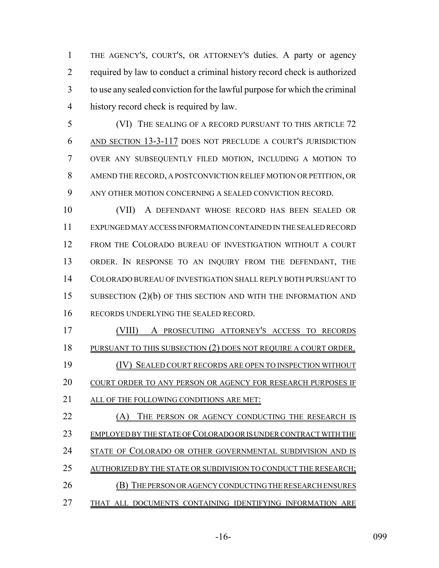THE AGENCY'S, COURT'S, OR ATTORNEY'S duties. A party or agency required by law to conduct a criminal history record check is authorized to use any sealed conviction for the lawful purpose for which the criminal history record check is required by law.

 (VI) THE SEALING OF A RECORD PURSUANT TO THIS ARTICLE 72 AND SECTION 13-3-117 DOES NOT PRECLUDE A COURT'S JURISDICTION OVER ANY SUBSEQUENTLY FILED MOTION, INCLUDING A MOTION TO AMEND THE RECORD, A POSTCONVICTION RELIEF MOTION OR PETITION, OR ANY OTHER MOTION CONCERNING A SEALED CONVICTION RECORD.

 (VII) A DEFENDANT WHOSE RECORD HAS BEEN SEALED OR EXPUNGED MAY ACCESS INFORMATION CONTAINED IN THE SEALED RECORD FROM THE COLORADO BUREAU OF INVESTIGATION WITHOUT A COURT ORDER. IN RESPONSE TO AN INQUIRY FROM THE DEFENDANT, THE COLORADO BUREAU OF INVESTIGATION SHALL REPLY BOTH PURSUANT TO 15 SUBSECTION (2)(b) OF THIS SECTION AND WITH THE INFORMATION AND RECORDS UNDERLYING THE SEALED RECORD.

- (VIII) A PROSECUTING ATTORNEY'S ACCESS TO RECORDS 18 PURSUANT TO THIS SUBSECTION (2) DOES NOT REQUIRE A COURT ORDER. (IV) SEALED COURT RECORDS ARE OPEN TO INSPECTION WITHOUT 20 COURT ORDER TO ANY PERSON OR AGENCY FOR RESEARCH PURPOSES IF ALL OF THE FOLLOWING CONDITIONS ARE MET: 22 (A) THE PERSON OR AGENCY CONDUCTING THE RESEARCH IS 23 EMPLOYED BY THE STATE OF COLORADO OR IS UNDER CONTRACT WITH THE 24 STATE OF COLORADO OR OTHER GOVERNMENTAL SUBDIVISION AND IS 25 AUTHORIZED BY THE STATE OR SUBDIVISION TO CONDUCT THE RESEARCH;
- 26 (B) THE PERSON OR AGENCY CONDUCTING THE RESEARCH ENSURES THAT ALL DOCUMENTS CONTAINING IDENTIFYING INFORMATION ARE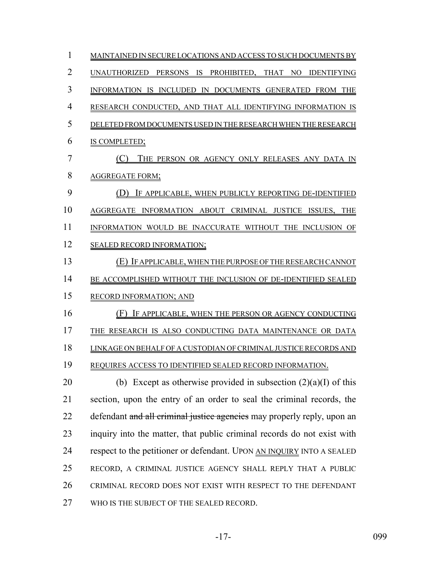| $\mathbf{1}$   | MAINTAINED IN SECURE LOCATIONS AND ACCESS TO SUCH DOCUMENTS BY          |
|----------------|-------------------------------------------------------------------------|
| $\overline{2}$ | UNAUTHORIZED PERSONS IS PROHIBITED, THAT NO IDENTIFYING                 |
| 3              | INFORMATION IS INCLUDED IN DOCUMENTS GENERATED FROM THE                 |
| $\overline{4}$ | RESEARCH CONDUCTED, AND THAT ALL IDENTIFYING INFORMATION IS             |
| 5              | DELETED FROM DOCUMENTS USED IN THE RESEARCH WHEN THE RESEARCH           |
| 6              | IS COMPLETED;                                                           |
| 7              | THE PERSON OR AGENCY ONLY RELEASES ANY DATA IN                          |
| 8              | <b>AGGREGATE FORM;</b>                                                  |
| 9              | (D) IF APPLICABLE, WHEN PUBLICLY REPORTING DE-IDENTIFIED                |
| 10             | AGGREGATE INFORMATION ABOUT CRIMINAL JUSTICE ISSUES, THE                |
| 11             | INFORMATION WOULD BE INACCURATE WITHOUT THE INCLUSION OF                |
| 12             | <b>SEALED RECORD INFORMATION;</b>                                       |
| 13             | (E) IF APPLICABLE, WHEN THE PURPOSE OF THE RESEARCH CANNOT              |
| 14             | BE ACCOMPLISHED WITHOUT THE INCLUSION OF DE-IDENTIFIED SEALED           |
| 15             | RECORD INFORMATION; AND                                                 |
| 16             | (F) IF APPLICABLE, WHEN THE PERSON OR AGENCY CONDUCTING                 |
| 17             | THE RESEARCH IS ALSO CONDUCTING DATA MAINTENANCE OR DATA                |
| 18             | LINKAGE ON BEHALF OF A CUSTODIAN OF CRIMINAL JUSTICE RECORDS AND        |
| 19             | REQUIRES ACCESS TO IDENTIFIED SEALED RECORD INFORMATION.                |
| 20             | (b) Except as otherwise provided in subsection $(2)(a)(I)$ of this      |
| 21             | section, upon the entry of an order to seal the criminal records, the   |
| 22             | defendant and all criminal justice agencies may properly reply, upon an |
| 23             | inquiry into the matter, that public criminal records do not exist with |
| 24             | respect to the petitioner or defendant. UPON AN INQUIRY INTO A SEALED   |
| 25             | RECORD, A CRIMINAL JUSTICE AGENCY SHALL REPLY THAT A PUBLIC             |
| 26             | CRIMINAL RECORD DOES NOT EXIST WITH RESPECT TO THE DEFENDANT            |
| 27             | WHO IS THE SUBJECT OF THE SEALED RECORD.                                |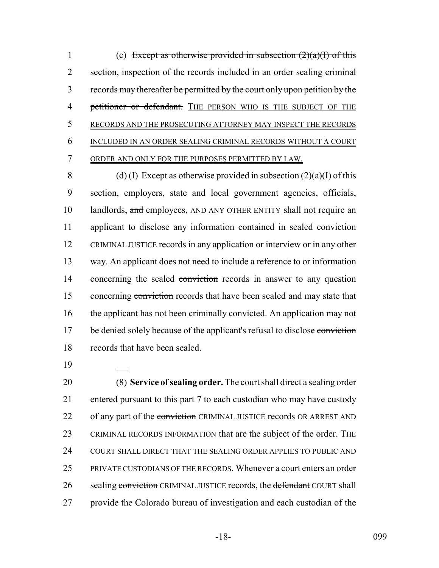1 (c) Except as otherwise provided in subsection  $(2)(a)(I)$  of this 2 section, inspection of the records included in an order sealing criminal 3 records may thereafter be permitted by the court only upon petition by the 4 petitioner or defendant. THE PERSON WHO IS THE SUBJECT OF THE 5 RECORDS AND THE PROSECUTING ATTORNEY MAY INSPECT THE RECORDS 6 INCLUDED IN AN ORDER SEALING CRIMINAL RECORDS WITHOUT A COURT 7 ORDER AND ONLY FOR THE PURPOSES PERMITTED BY LAW.

8 (d) (I) Except as otherwise provided in subsection  $(2)(a)(I)$  of this 9 section, employers, state and local government agencies, officials, 10 landlords, and employees, AND ANY OTHER ENTITY shall not require an 11 applicant to disclose any information contained in sealed conviction 12 CRIMINAL JUSTICE records in any application or interview or in any other 13 way. An applicant does not need to include a reference to or information 14 concerning the sealed conviction records in answer to any question 15 concerning conviction records that have been sealed and may state that 16 the applicant has not been criminally convicted. An application may not 17 be denied solely because of the applicant's refusal to disclose conviction 18 records that have been sealed.

19

 (8) **Service of sealing order.** The court shall direct a sealing order entered pursuant to this part 7 to each custodian who may have custody 22 of any part of the conviction CRIMINAL JUSTICE records OR ARREST AND CRIMINAL RECORDS INFORMATION that are the subject of the order. THE COURT SHALL DIRECT THAT THE SEALING ORDER APPLIES TO PUBLIC AND PRIVATE CUSTODIANS OF THE RECORDS. Whenever a court enters an order 26 sealing conviction CRIMINAL JUSTICE records, the defendant COURT shall provide the Colorado bureau of investigation and each custodian of the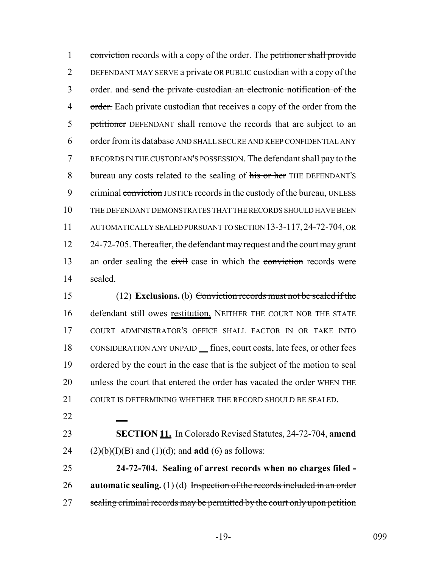1 conviction records with a copy of the order. The petitioner shall provide 2 DEFENDANT MAY SERVE a private OR PUBLIC custodian with a copy of the 3 order. and send the private custodian an electronic notification of the 4 order. Each private custodian that receives a copy of the order from the 5 petitioner DEFENDANT shall remove the records that are subject to an 6 order from its database AND SHALL SECURE AND KEEP CONFIDENTIAL ANY 7 RECORDS IN THE CUSTODIAN'S POSSESSION. The defendant shall pay to the 8 bureau any costs related to the sealing of his or her THE DEFENDANT'S 9 criminal conviction JUSTICE records in the custody of the bureau, UNLESS 10 THE DEFENDANT DEMONSTRATES THAT THE RECORDS SHOULD HAVE BEEN 11 AUTOMATICALLY SEALED PURSUANT TO SECTION 13-3-117,24-72-704, OR 12 24-72-705. Thereafter, the defendant may request and the court may grant 13 an order sealing the civil case in which the conviction records were 14 sealed.

15 (12) **Exclusions.** (b) Conviction records must not be sealed if the 16 defendant still owes restitution, NEITHER THE COURT NOR THE STATE 17 COURT ADMINISTRATOR'S OFFICE SHALL FACTOR IN OR TAKE INTO 18 CONSIDERATION ANY UNPAID fines, court costs, late fees, or other fees 19 ordered by the court in the case that is the subject of the motion to seal 20 unless the court that entered the order has vacated the order WHEN THE 21 COURT IS DETERMINING WHETHER THE RECORD SHOULD BE SEALED.

22

23 **SECTION 11.** In Colorado Revised Statutes, 24-72-704, **amend** 24 (2)(b)(I)(B) and (1)(d); and **add** (6) as follows:

25 **24-72-704. Sealing of arrest records when no charges filed -** 26 **automatic sealing.** (1) (d) Inspection of the records included in an order 27 sealing criminal records may be permitted by the court only upon petition

-19- 099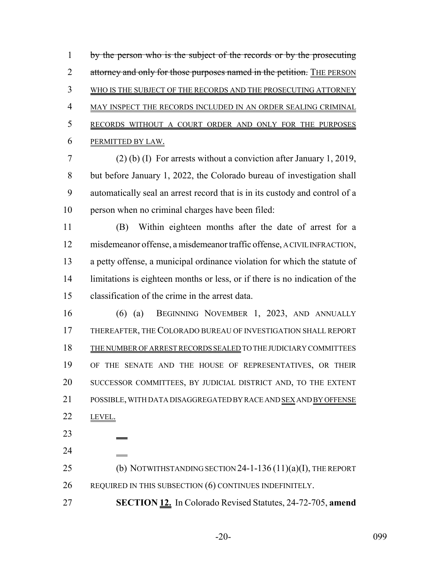by the person who is the subject of the records or by the prosecuting 2 attorney and only for those purposes named in the petition. THE PERSON WHO IS THE SUBJECT OF THE RECORDS AND THE PROSECUTING ATTORNEY MAY INSPECT THE RECORDS INCLUDED IN AN ORDER SEALING CRIMINAL RECORDS WITHOUT A COURT ORDER AND ONLY FOR THE PURPOSES PERMITTED BY LAW.

 (2) (b) (I) For arrests without a conviction after January 1, 2019, but before January 1, 2022, the Colorado bureau of investigation shall automatically seal an arrest record that is in its custody and control of a person when no criminal charges have been filed:

 (B) Within eighteen months after the date of arrest for a misdemeanor offense, a misdemeanor traffic offense, A CIVIL INFRACTION, a petty offense, a municipal ordinance violation for which the statute of limitations is eighteen months or less, or if there is no indication of the classification of the crime in the arrest data.

 (6) (a) BEGINNING NOVEMBER 1, 2023, AND ANNUALLY THEREAFTER, THE COLORADO BUREAU OF INVESTIGATION SHALL REPORT THE NUMBER OF ARREST RECORDS SEALED TO THE JUDICIARY COMMITTEES OF THE SENATE AND THE HOUSE OF REPRESENTATIVES, OR THEIR SUCCESSOR COMMITTEES, BY JUDICIAL DISTRICT AND, TO THE EXTENT POSSIBLE, WITH DATA DISAGGREGATED BY RACE AND SEX AND BY OFFENSE 22 LEVEL.

 

25 (b) NOTWITHSTANDING SECTION 24-1-136 (11)(a)(I), THE REPORT 26 REQUIRED IN THIS SUBSECTION (6) CONTINUES INDEFINITELY.

**SECTION 12.** In Colorado Revised Statutes, 24-72-705, **amend**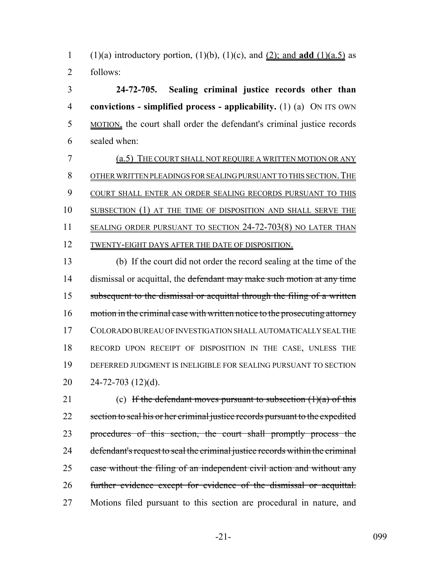1 (1)(a) introductory portion, (1)(b), (1)(c), and (2); and **add** (1)(a.5) as follows:

 **24-72-705. Sealing criminal justice records other than convictions - simplified process - applicability.** (1) (a) ON ITS OWN MOTION, the court shall order the defendant's criminal justice records sealed when:

 (a.5) THE COURT SHALL NOT REQUIRE A WRITTEN MOTION OR ANY 8 OTHER WRITTEN PLEADINGS FOR SEALING PURSUANT TO THIS SECTION. THE 9 COURT SHALL ENTER AN ORDER SEALING RECORDS PURSUANT TO THIS SUBSECTION (1) AT THE TIME OF DISPOSITION AND SHALL SERVE THE 11 SEALING ORDER PURSUANT TO SECTION 24-72-703(8) NO LATER THAN 12 TWENTY-EIGHT DAYS AFTER THE DATE OF DISPOSITION.

 (b) If the court did not order the record sealing at the time of the 14 dismissal or acquittal, the defendant may make such motion at any time subsequent to the dismissal or acquittal through the filing of a written 16 motion in the criminal case with written notice to the prosecuting attorney COLORADO BUREAU OF INVESTIGATION SHALL AUTOMATICALLY SEAL THE RECORD UPON RECEIPT OF DISPOSITION IN THE CASE, UNLESS THE DEFERRED JUDGMENT IS INELIGIBLE FOR SEALING PURSUANT TO SECTION 24-72-703 (12)(d).

21 (c) If the defendant moves pursuant to subsection  $(1)(a)$  of this 22 section to seal his or her criminal justice records pursuant to the expedited procedures of this section, the court shall promptly process the defendant's request to seal the criminal justice records within the criminal 25 case without the filing of an independent civil action and without any further evidence except for evidence of the dismissal or acquittal. Motions filed pursuant to this section are procedural in nature, and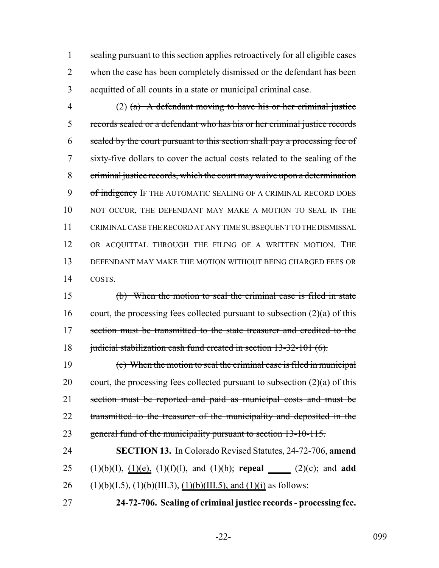sealing pursuant to this section applies retroactively for all eligible cases when the case has been completely dismissed or the defendant has been acquitted of all counts in a state or municipal criminal case.

4 (2) (a) A defendant moving to have his or her criminal justice records sealed or a defendant who has his or her criminal justice records sealed by the court pursuant to this section shall pay a processing fee of sixty-five dollars to cover the actual costs related to the sealing of the criminal justice records, which the court may waive upon a determination 9 of indigency IF THE AUTOMATIC SEALING OF A CRIMINAL RECORD DOES 10 NOT OCCUR, THE DEFENDANT MAY MAKE A MOTION TO SEAL IN THE CRIMINAL CASE THE RECORD AT ANY TIME SUBSEQUENT TO THE DISMISSAL OR ACQUITTAL THROUGH THE FILING OF A WRITTEN MOTION. THE DEFENDANT MAY MAKE THE MOTION WITHOUT BEING CHARGED FEES OR COSTS.

 (b) When the motion to seal the criminal case is filed in state 16 court, the processing fees collected pursuant to subsection  $(2)(a)$  of this 17 section must be transmitted to the state treasurer and credited to the 18 judicial stabilization cash fund created in section 13-32-101 (6).

 (c) When the motion to seal the criminal case is filed in municipal 20 court, the processing fees collected pursuant to subsection  $(2)(a)$  of this section must be reported and paid as municipal costs and must be 22 transmitted to the treasurer of the municipality and deposited in the 23 general fund of the municipality pursuant to section 13-10-115.

 **SECTION 13.** In Colorado Revised Statutes, 24-72-706, **amend** (1)(b)(I), (1)(e), (1)(f)(I), and (1)(h); **repeal** (2)(c); and **add** 26 (1)(b)(I.5), (1)(b)(III.3), (1)(b)(III.5), and (1)(i) as follows:

**24-72-706. Sealing of criminal justice records - processing fee.**

-22- 099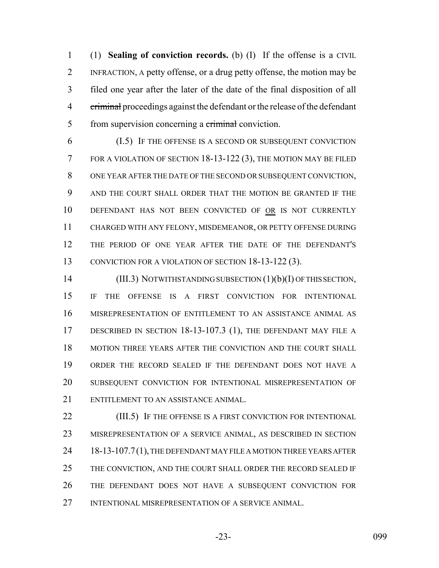(1) **Sealing of conviction records.** (b) (I) If the offense is a CIVIL INFRACTION, A petty offense, or a drug petty offense, the motion may be filed one year after the later of the date of the final disposition of all 4 criminal proceedings against the defendant or the release of the defendant 5 from supervision concerning a criminal conviction.

 (I.5) IF THE OFFENSE IS A SECOND OR SUBSEQUENT CONVICTION FOR A VIOLATION OF SECTION 18-13-122 (3), THE MOTION MAY BE FILED ONE YEAR AFTER THE DATE OF THE SECOND OR SUBSEQUENT CONVICTION, AND THE COURT SHALL ORDER THAT THE MOTION BE GRANTED IF THE DEFENDANT HAS NOT BEEN CONVICTED OF OR IS NOT CURRENTLY CHARGED WITH ANY FELONY, MISDEMEANOR, OR PETTY OFFENSE DURING THE PERIOD OF ONE YEAR AFTER THE DATE OF THE DEFENDANT'S 13 CONVICTION FOR A VIOLATION OF SECTION 18-13-122 (3).

14 (III.3) NOTWITHSTANDING SUBSECTION (1)(b)(I) OF THIS SECTION, IF THE OFFENSE IS A FIRST CONVICTION FOR INTENTIONAL MISREPRESENTATION OF ENTITLEMENT TO AN ASSISTANCE ANIMAL AS DESCRIBED IN SECTION 18-13-107.3 (1), THE DEFENDANT MAY FILE A MOTION THREE YEARS AFTER THE CONVICTION AND THE COURT SHALL ORDER THE RECORD SEALED IF THE DEFENDANT DOES NOT HAVE A SUBSEQUENT CONVICTION FOR INTENTIONAL MISREPRESENTATION OF ENTITLEMENT TO AN ASSISTANCE ANIMAL.

**(III.5)** IF THE OFFENSE IS A FIRST CONVICTION FOR INTENTIONAL MISREPRESENTATION OF A SERVICE ANIMAL, AS DESCRIBED IN SECTION 24 18-13-107.7(1), THE DEFENDANT MAY FILE A MOTION THREE YEARS AFTER THE CONVICTION, AND THE COURT SHALL ORDER THE RECORD SEALED IF THE DEFENDANT DOES NOT HAVE A SUBSEQUENT CONVICTION FOR INTENTIONAL MISREPRESENTATION OF A SERVICE ANIMAL.

-23- 099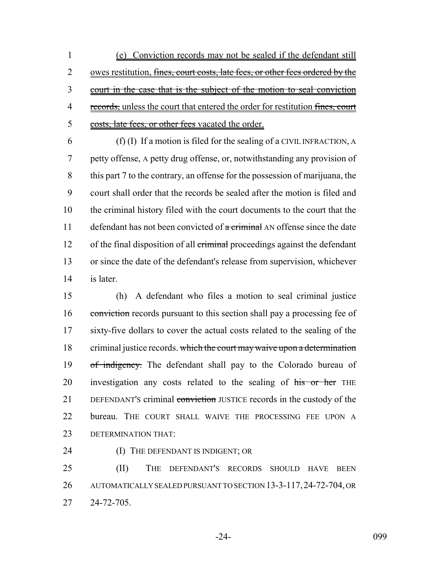1 (e) Conviction records may not be sealed if the defendant still 2 owes restitution, fines, court costs, late fees, or other fees ordered by the 3 court in the case that is the subject of the motion to seal conviction 4 records, unless the court that entered the order for restitution fines, court 5 costs, late fees, or other fees vacated the order.

 (f) (I) If a motion is filed for the sealing of a CIVIL INFRACTION, A petty offense, A petty drug offense, or, notwithstanding any provision of this part 7 to the contrary, an offense for the possession of marijuana, the court shall order that the records be sealed after the motion is filed and the criminal history filed with the court documents to the court that the 11 defendant has not been convicted of  $\alpha$  criminal AN offense since the date 12 of the final disposition of all criminal proceedings against the defendant or since the date of the defendant's release from supervision, whichever is later.

15 (h) A defendant who files a motion to seal criminal justice 16 conviction records pursuant to this section shall pay a processing fee of 17 sixty-five dollars to cover the actual costs related to the sealing of the 18 criminal justice records. which the court may waive upon a determination 19 of indigency. The defendant shall pay to the Colorado bureau of 20 investigation any costs related to the sealing of his or her THE 21 DEFENDANT's criminal conviction JUSTICE records in the custody of the 22 bureau. THE COURT SHALL WAIVE THE PROCESSING FEE UPON A 23 DETERMINATION THAT:

24 **(I) THE DEFENDANT IS INDIGENT; OR** 

25 (II) THE DEFENDANT'S RECORDS SHOULD HAVE BEEN 26 AUTOMATICALLY SEALED PURSUANT TO SECTION 13-3-117,24-72-704, OR 27 24-72-705.

-24- 099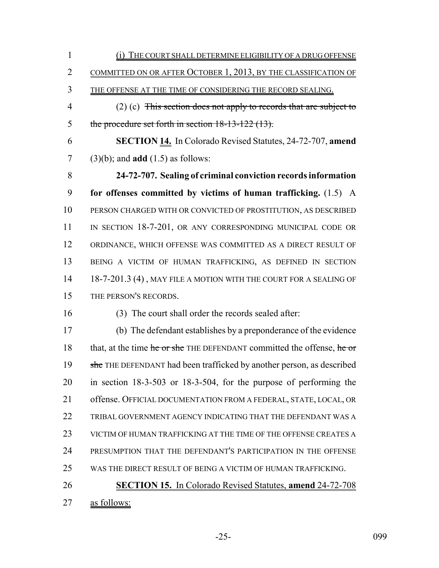(i) THE COURT SHALL DETERMINE ELIGIBILITY OF A DRUG OFFENSE COMMITTED ON OR AFTER OCTOBER 1, 2013, BY THE CLASSIFICATION OF THE OFFENSE AT THE TIME OF CONSIDERING THE RECORD SEALING. (2) (c) This section does not apply to records that are subject to 5 the procedure set forth in section 18-13-122 (13). **SECTION 14.** In Colorado Revised Statutes, 24-72-707, **amend** (3)(b); and **add** (1.5) as follows: **24-72-707. Sealing of criminal conviction records information for offenses committed by victims of human trafficking.** (1.5) A PERSON CHARGED WITH OR CONVICTED OF PROSTITUTION, AS DESCRIBED 11 IN SECTION 18-7-201, OR ANY CORRESPONDING MUNICIPAL CODE OR ORDINANCE, WHICH OFFENSE WAS COMMITTED AS A DIRECT RESULT OF BEING A VICTIM OF HUMAN TRAFFICKING, AS DEFINED IN SECTION 14 18-7-201.3 (4), MAY FILE A MOTION WITH THE COURT FOR A SEALING OF THE PERSON'S RECORDS. (3) The court shall order the records sealed after: (b) The defendant establishes by a preponderance of the evidence 18 that, at the time he or she THE DEFENDANT committed the offense, he or 19 she THE DEFENDANT had been trafficked by another person, as described in section 18-3-503 or 18-3-504, for the purpose of performing the offense. OFFICIAL DOCUMENTATION FROM A FEDERAL, STATE, LOCAL, OR TRIBAL GOVERNMENT AGENCY INDICATING THAT THE DEFENDANT WAS A VICTIM OF HUMAN TRAFFICKING AT THE TIME OF THE OFFENSE CREATES A PRESUMPTION THAT THE DEFENDANT'S PARTICIPATION IN THE OFFENSE WAS THE DIRECT RESULT OF BEING A VICTIM OF HUMAN TRAFFICKING. **SECTION 15.** In Colorado Revised Statutes, **amend** 24-72-708 as follows:

-25- 099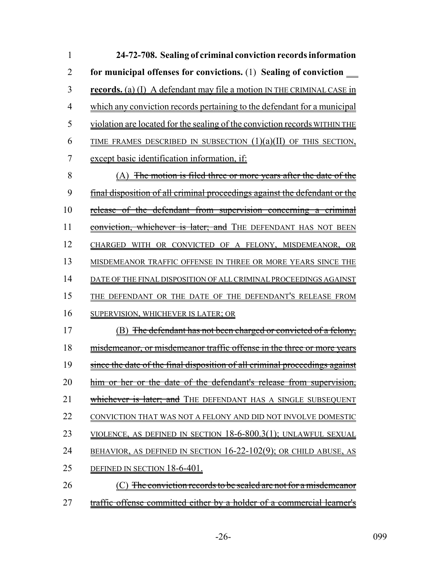| 1              | 24-72-708. Sealing of criminal conviction records information                     |
|----------------|-----------------------------------------------------------------------------------|
| $\overline{2}$ | for municipal offenses for convictions. (1) Sealing of conviction _______________ |
| 3              | records. (a) (I) A defendant may file a motion IN THE CRIMINAL CASE in            |
| $\overline{4}$ | which any conviction records pertaining to the defendant for a municipal          |
| 5              | violation are located for the sealing of the conviction records WITHIN THE        |
| 6              | TIME FRAMES DESCRIBED IN SUBSECTION $(1)(a)(II)$ OF THIS SECTION,                 |
| 7              | except basic identification information, if:                                      |
| 8              | (A) <del>The motion is filed three or more years after the date of the</del>      |
| 9              | final disposition of all criminal proceedings against the defendant or the        |
| 10             | <u>release of the defendant from supervision concerning a criminal</u>            |
| 11             | conviction, whichever is later; and THE DEFENDANT HAS NOT BEEN                    |
| 12             | CHARGED WITH OR CONVICTED OF A FELONY, MISDEMEANOR, OR                            |
| 13             | MISDEMEANOR TRAFFIC OFFENSE IN THREE OR MORE YEARS SINCE THE                      |
| 14             | DATE OF THE FINAL DISPOSITION OF ALL CRIMINAL PROCEEDINGS AGAINST                 |
| 15             | THE DEFENDANT OR THE DATE OF THE DEFENDANT'S RELEASE FROM                         |
| 16             | <b>SUPERVISION, WHICHEVER IS LATER; OR</b>                                        |
| 17             | <u>The defendant has not been charged or convicted of a felony,</u><br>B)         |
| 18             | <u>misdemeanor, or misdemeanor traffic offense in the three or more years</u>     |
| 19             | since the date of the final disposition of all criminal proceedings against       |
| 20             | him or her or the date of the defendant's release from supervision,               |
| 21             | <del>whichever is later; and</del> THE DEFENDANT HAS A SINGLE SUBSEQUENT          |
| 22             | CONVICTION THAT WAS NOT A FELONY AND DID NOT INVOLVE DOMESTIC                     |
| 23             | VIOLENCE, AS DEFINED IN SECTION $18-6-800.3(1)$ ; UNLAWFUL SEXUAL                 |
| 24             | <u>BEHAVIOR, AS DEFINED IN SECTION 16-22-102(9); OR CHILD ABUSE, AS</u>           |
| 25             | DEFINED IN SECTION 18-6-401.                                                      |
| 26             | The conviction records to be sealed are not for a misdemeanor                     |
| 27             | traffic offense committed either by a holder of a commercial learner's            |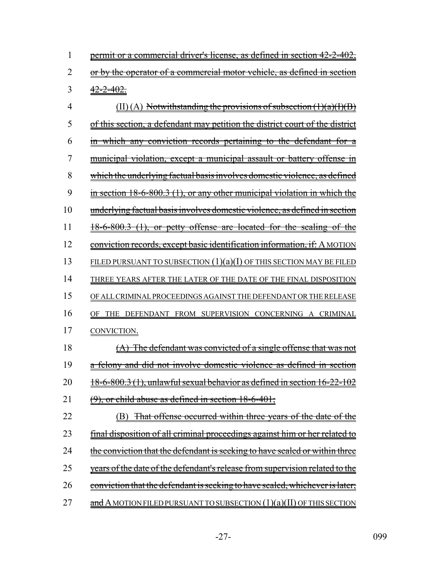|                | permit or a commercial driver's license, as defined in section 42-2-402, |
|----------------|--------------------------------------------------------------------------|
|                | or by the operator of a commercial motor vehicle, as defined in section  |
| 3 <sup>7</sup> | <del>42-2-402</del>                                                      |

4 (II) (A) Notwithstanding the provisions of subsection  $(1)(a)(I)(B)$ 5 of this section, a defendant may petition the district court of the district 6 in which any conviction records pertaining to the defendant for a 7 municipal violation, except a municipal assault or battery offense in 8 which the underlying factual basis involves domestic violence, as defined 9 in section 18-6-800.3 (1), or any other municipal violation in which the 10 underlying factual basis involves domestic violence, as defined in section  $11 \frac{18-6-800.3 (1)}{18-6}$ , or petty offense are located for the sealing of the 12 conviction records, except basic identification information, if: A MOTION 13 FILED PURSUANT TO SUBSECTION  $(1)(a)(I)$  OF THIS SECTION MAY BE FILED 14 THREE YEARS AFTER THE LATER OF THE DATE OF THE FINAL DISPOSITION 15 OF ALL CRIMINAL PROCEEDINGS AGAINST THE DEFENDANT OR THE RELEASE 16 OF THE DEFENDANT FROM SUPERVISION CONCERNING A CRIMINAL 17 CONVICTION. 18 (A) The defendant was convicted of a single offense that was not 19 a felony and did not involve domestic violence as defined in section 20  $18-6-800.3$  (1), unlawful sexual behavior as defined in section  $16-22-102$ 21  $(9)$ , or child abuse as defined in section  $18-6-401$ ; 22 (B) That offense occurred within three years of the date of the 23 final disposition of all criminal proceedings against him or her related to 24 the conviction that the defendant is seeking to have sealed or within three 25 years of the date of the defendant's release from supervision related to the 26 conviction that the defendant is seeking to have sealed, whichever is later;

27  $\alpha$  and A MOTION FILED PURSUANT TO SUBSECTION (1)(a)(II) OF THIS SECTION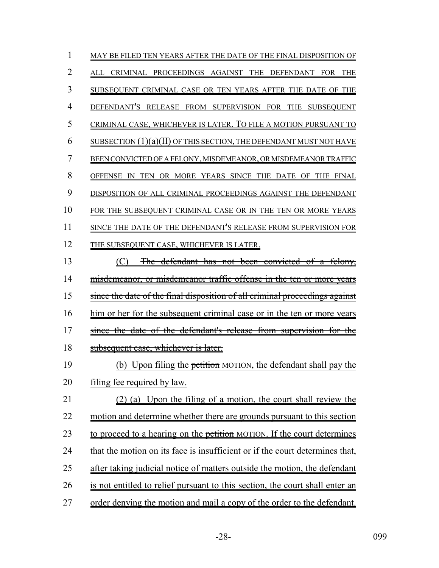| 1              | MAY BE FILED TEN YEARS AFTER THE DATE OF THE FINAL DISPOSITION OF            |
|----------------|------------------------------------------------------------------------------|
| 2              | ALL CRIMINAL PROCEEDINGS AGAINST THE DEFENDANT FOR<br><b>THE</b>             |
| 3              | SUBSEQUENT CRIMINAL CASE OR TEN YEARS AFTER THE DATE OF THE                  |
| $\overline{4}$ | DEFENDANT'S RELEASE FROM SUPERVISION FOR THE SUBSEQUENT                      |
| 5              | CRIMINAL CASE, WHICHEVER IS LATER. TO FILE A MOTION PURSUANT TO              |
| 6              | SUBSECTION $(1)(a)(II)$ OF THIS SECTION, THE DEFENDANT MUST NOT HAVE         |
| 7              | BEEN CONVICTED OF A FELONY, MISDEMEANOR, OR MISDEMEANOR TRAFFIC              |
| 8              | TEN OR MORE YEARS SINCE THE DATE OF THE FINAL<br>OFFENSE IN                  |
| 9              | DISPOSITION OF ALL CRIMINAL PROCEEDINGS AGAINST THE DEFENDANT                |
| 10             | FOR THE SUBSEQUENT CRIMINAL CASE OR IN THE TEN OR MORE YEARS                 |
| 11             | SINCE THE DATE OF THE DEFENDANT'S RELEASE FROM SUPERVISION FOR               |
| 12             | THE SUBSEQUENT CASE, WHICHEVER IS LATER.                                     |
| 13             | The defendant has not been convicted of a felony,                            |
| 14             | misdemeanor, or misdemeanor traffic offense in the ten or more years         |
| 15             | since the date of the final disposition of all criminal proceedings against  |
| 16             | him or her for the subsequent criminal case or in the ten or more years      |
| 17             | since the date of the defendant's release from supervision for the           |
| 18             | subsequent case, whichever is later.                                         |
| 19             | (b) Upon filing the petition MOTION, the defendant shall pay the             |
| 20             | filing fee required by law.                                                  |
| 21             | (2) (a) Upon the filing of a motion, the court shall review the              |
| 22             | motion and determine whether there are grounds pursuant to this section      |
| 23             | to proceed to a hearing on the petition MOTION. If the court determines      |
| 24             | that the motion on its face is insufficient or if the court determines that, |
| 25             | after taking judicial notice of matters outside the motion, the defendant    |
| 26             | is not entitled to relief pursuant to this section, the court shall enter an |
| 27             | order denying the motion and mail a copy of the order to the defendant.      |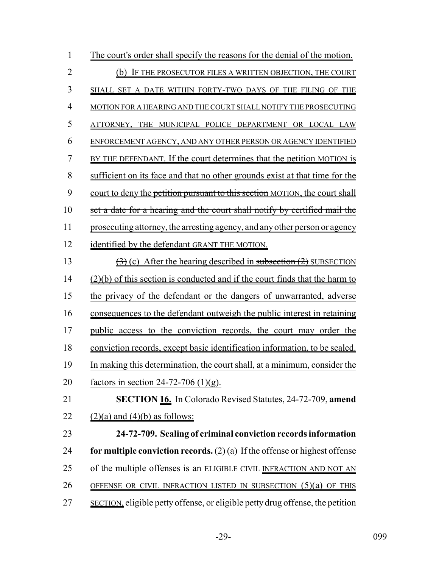| $\mathbf{1}$   | The court's order shall specify the reasons for the denial of the motion.               |
|----------------|-----------------------------------------------------------------------------------------|
| $\overline{2}$ | (b) IF THE PROSECUTOR FILES A WRITTEN OBJECTION, THE COURT                              |
| $\overline{3}$ | SHALL SET A DATE WITHIN FORTY-TWO DAYS OF THE FILING OF THE                             |
| $\overline{4}$ | MOTION FOR A HEARING AND THE COURT SHALL NOTIFY THE PROSECUTING                         |
| 5              | ATTORNEY, THE MUNICIPAL POLICE DEPARTMENT OR LOCAL LAW                                  |
| 6              | ENFORCEMENT AGENCY, AND ANY OTHER PERSON OR AGENCY IDENTIFIED                           |
| $\overline{7}$ | BY THE DEFENDANT. If the court determines that the petition MOTION is                   |
| 8              | sufficient on its face and that no other grounds exist at that time for the             |
| 9              | court to deny the petition pursuant to this section MOTION, the court shall             |
| 10             | set a date for a hearing and the court shall notify by certified mail the               |
| 11             | prosecuting attorney, the arresting agency, and any other person or agency              |
| 12             | identified by the defendant GRANT THE MOTION.                                           |
| 13             | $\left(\frac{1}{2}\right)$ (c) After the hearing described in subsection (2) SUBSECTION |
| 14             | $(2)(b)$ of this section is conducted and if the court finds that the harm to           |
| 15             | the privacy of the defendant or the dangers of unwarranted, adverse                     |
| 16             | consequences to the defendant outweigh the public interest in retaining                 |
| 17             | public access to the conviction records, the court may order the                        |
| 18             | conviction records, except basic identification information, to be sealed.              |
| 19             | In making this determination, the court shall, at a minimum, consider the               |
| 20             | factors in section $24-72-706$ (1)(g).                                                  |
| 21             | <b>SECTION 16.</b> In Colorado Revised Statutes, 24-72-709, amend                       |
| 22             | $(2)(a)$ and $(4)(b)$ as follows:                                                       |
| 23             | 24-72-709. Sealing of criminal conviction records information                           |
| 24             | for multiple conviction records. $(2)$ (a) If the offense or highest offense            |
| 25             | of the multiple offenses is an ELIGIBLE CIVIL INFRACTION AND NOT AN                     |
| 26             | <u>OFFENSE OR CIVIL INFRACTION LISTED IN SUBSECTION <math>(5)(a)</math> OF THIS</u>     |
| 27             | <b>SECTION</b> , eligible petty offense, or eligible petty drug offense, the petition   |